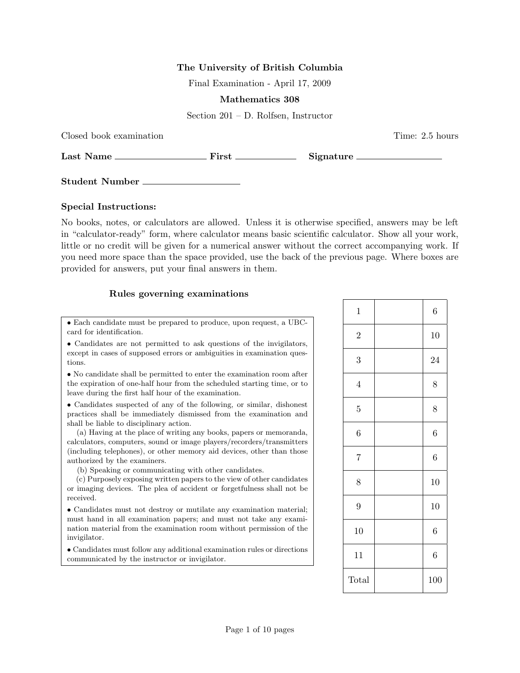## The University of British Columbia

Final Examination - April 17, 2009

## Mathematics 308

Section 201 – D. Rolfsen, Instructor

| Closed book examination |                                                                                                                |  | Time: 2.5 hours |
|-------------------------|----------------------------------------------------------------------------------------------------------------|--|-----------------|
| Last Name               | First the set of the set of the set of the set of the set of the set of the set of the set of the set of the s |  | Signature       |
| <b>Student Number</b>   |                                                                                                                |  |                 |

## Special Instructions:

No books, notes, or calculators are allowed. Unless it is otherwise specified, answers may be left in "calculator-ready" form, where calculator means basic scientific calculator. Show all your work, little or no credit will be given for a numerical answer without the correct accompanying work. If you need more space than the space provided, use the back of the previous page. Where boxes are provided for answers, put your final answers in them.

## Rules governing examinations

• Each candidate must be prepared to produce, upon request, a UBCcard for identification.

• Candidates are not permitted to ask questions of the invigilators, except in cases of supposed errors or ambiguities in examination questions.

• No candidate shall be permitted to enter the examination room after the expiration of one-half hour from the scheduled starting time, or to leave during the first half hour of the examination.

• Candidates suspected of any of the following, or similar, dishonest practices shall be immediately dismissed from the examination and shall be liable to disciplinary action.

(a) Having at the place of writing any books, papers or memoranda, calculators, computers, sound or image players/recorders/transmitters (including telephones), or other memory aid devices, other than those authorized by the examiners.

(b) Speaking or communicating with other candidates.

(c) Purposely exposing written papers to the view of other candidates or imaging devices. The plea of accident or forgetfulness shall not be received.

• Candidates must not destroy or mutilate any examination material; must hand in all examination papers; and must not take any examination material from the examination room without permission of the invigilator.

• Candidates must follow any additional examination rules or directions communicated by the instructor or invigilator.

| $\mathbf{1}$     | $\boldsymbol{6}$ |
|------------------|------------------|
| $\overline{2}$   | 10               |
| 3                | 24               |
| $\overline{4}$   | 8                |
| $\overline{5}$   | 8                |
| $\boldsymbol{6}$ | $\overline{6}$   |
| $\overline{7}$   | $\overline{6}$   |
| 8                | 10               |
| $\overline{9}$   | 10               |
| 10               | $\boldsymbol{6}$ |
| 11               | $\,$ 6 $\,$      |
| Total            | 100              |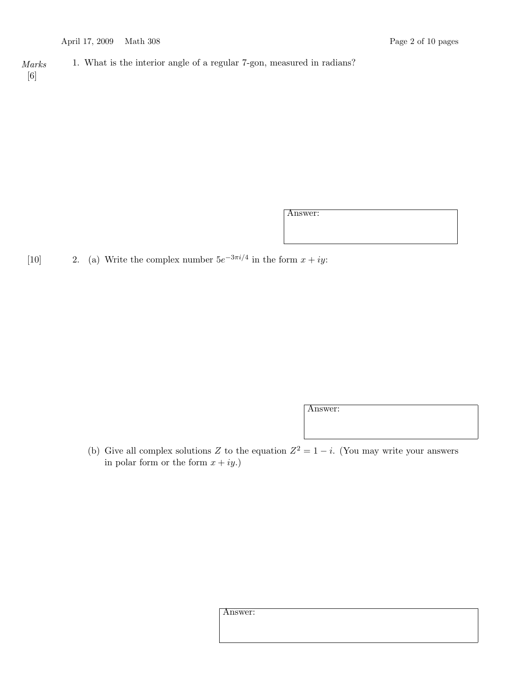Marks 1. What is the interior angle of a regular 7-gon, measured in radians? [6]

Answer:

[10] 2. (a) Write the complex number  $5e^{-3\pi i/4}$  in the form  $x + iy$ :

Answer:

(b) Give all complex solutions Z to the equation  $Z^2 = 1 - i$ . (You may write your answers in polar form or the form  $x + iy$ .

Answer: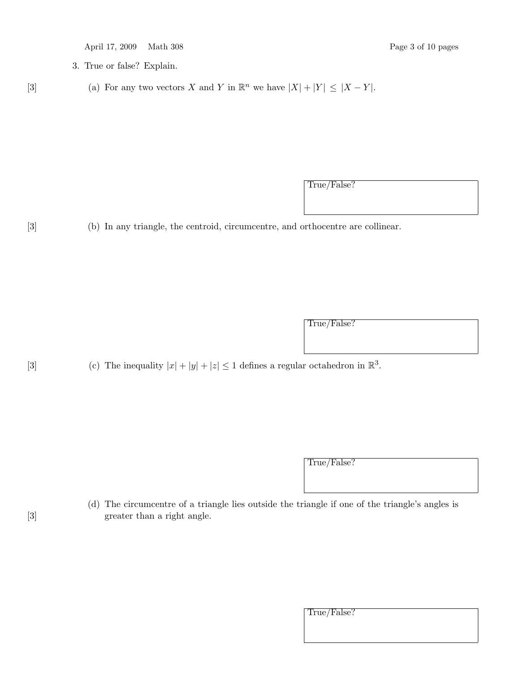| April 17, 2009 |  |  | Math 308 |  |
|----------------|--|--|----------|--|
|----------------|--|--|----------|--|

Page 3 of 10 pages

- 3. True or false? Explain.
- [3] (a) For any two vectors X and Y in  $\mathbb{R}^n$  we have  $|X| + |Y| \leq |X Y|$ .

True/False?

[3] (b) In any triangle, the centroid, circumcentre, and orthocentre are collinear.

True/False?

[3] (c) The inequality  $|x| + |y| + |z| \leq 1$  defines a regular octahedron in  $\mathbb{R}^3$ .

True/False?

(d) The circumcentre of a triangle lies outside the triangle if one of the triangle's angles is [3] greater than a right angle.

| Irue/False. |
|-------------|
|             |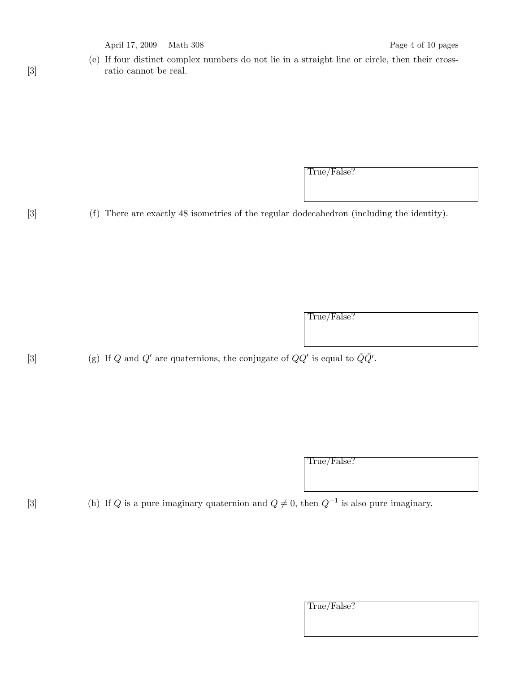April 17, 2009 Math 308 Page 4 of 10 pages

(e) If four distinct complex numbers do not lie in a straight line or circle, then their cross-[3] **ratio cannot be real.** 

True/False?

[3] (f) There are exactly 48 isometries of the regular dodecahedron (including the identity).

True/False?

[3] (g) If Q and Q' are quaternions, the conjugate of  $QQ'$  is equal to  $\overline{Q}\overline{Q}'$ .

True/False?

[3] (h) If Q is a pure imaginary quaternion and  $Q \neq 0$ , then  $Q^{-1}$  is also pure imaginary.

True/False?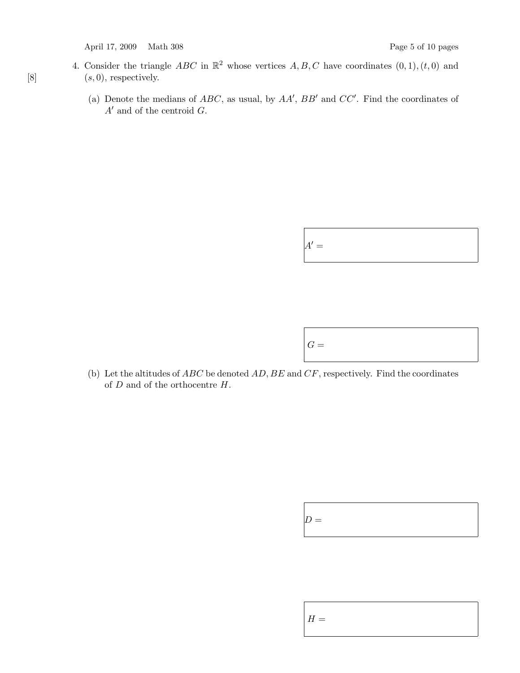April 17, 2009 Math 308 Page 5 of 10 pages

- 4. Consider the triangle ABC in  $\mathbb{R}^2$  whose vertices A, B, C have coordinates  $(0, 1), (t, 0)$  and [8]  $(s, 0)$ , respectively.
	- (a) Denote the medians of  $ABC$ , as usual, by  $AA'$ ,  $BB'$  and  $CC'$ . Find the coordinates of  $A'$  and of the centroid  $G$ .

| $A' =$ |  |  |  |
|--------|--|--|--|
|--------|--|--|--|



(b) Let the altitudes of  $ABC$  be denoted  $AD, BE$  and  $CF$ , respectively. Find the coordinates of  $D$  and of the orthocentre  $H$ .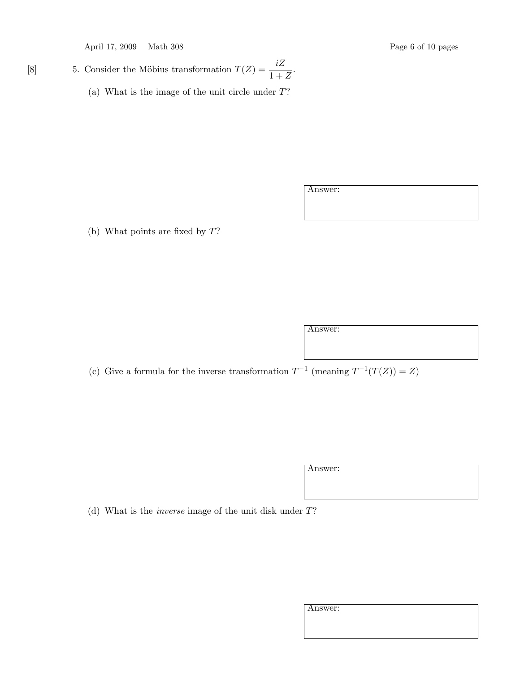April 17, 2009 Math 308 Page 6 of 10 pages

[8] 5. Consider the Möbius transformation  $T(Z) = \frac{iZ}{1+Z}$ .

(a) What is the image of the unit circle under T?

Answer:

(b) What points are fixed by T?

Answer:

(c) Give a formula for the inverse transformation  $T^{-1}$  (meaning  $T^{-1}(T(Z)) = Z$ )

Answer:

(d) What is the inverse image of the unit disk under T?

| ۰.<br>۰, |
|----------|
|          |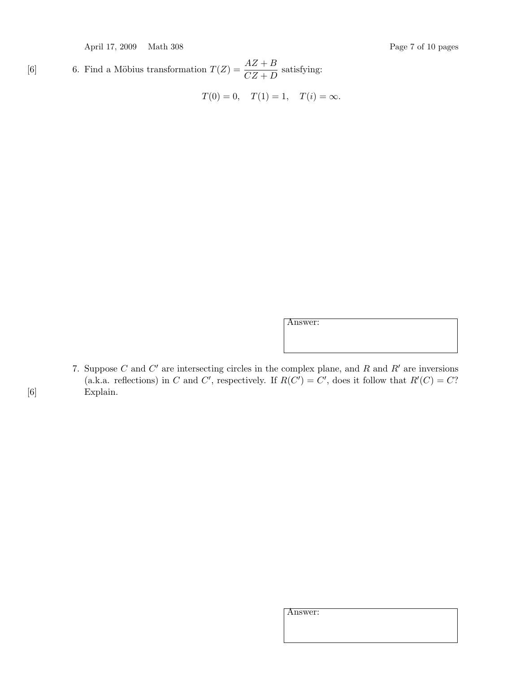April 17, 2009 Math 308 Page 7 of 10 pages

[6] 6. Find a Möbius transformation  $T(Z) = \frac{AZ+B}{CZ+D}$  satisfying:

$$
T(0) = 0
$$
,  $T(1) = 1$ ,  $T(i) = \infty$ .

Answer:

7. Suppose C and  $C'$  are intersecting circles in the complex plane, and R and R' are inversions (a.k.a. reflections) in C and C', respectively. If  $R(C') = C'$ , does it follow that  $R'(C) = C$ ? [6] Explain.

Answer: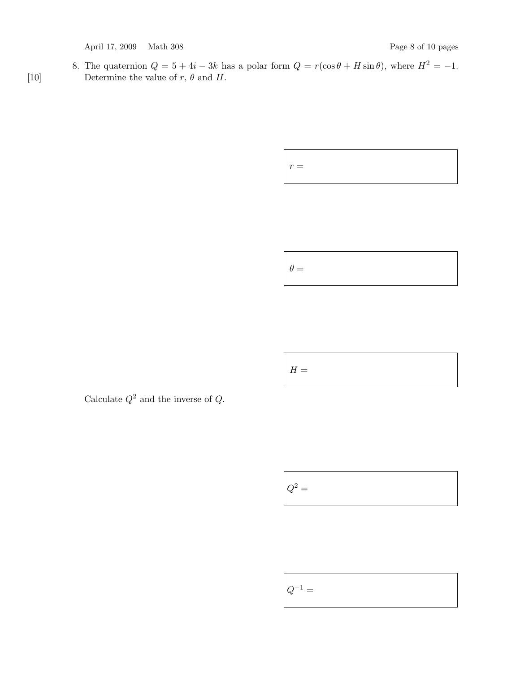April 17, 2009 Math 308 Page 8 of 10 pages

8. The quaternion  $Q = 5 + 4i - 3k$  has a polar form  $Q = r(\cos \theta + H \sin \theta)$ , where  $H^2 = -1$ . [10] Determine the value of  $r, \theta$  and  $H$ .

 $r =$ 

 $\theta =$ 

 $H=% \begin{bmatrix} \omega_{0}-i\frac{\gamma_{\rm{QE}}}{2} & \omega_{\rm{M}}-i\frac{\gamma_{\rm{p}}}{2}% \end{bmatrix}% ,$ 

Calculate  $Q^2$  and the inverse of  $Q$ .

 ${\cal Q}^2$   $=$ 

$$
\boxed{Q^{-1}} =
$$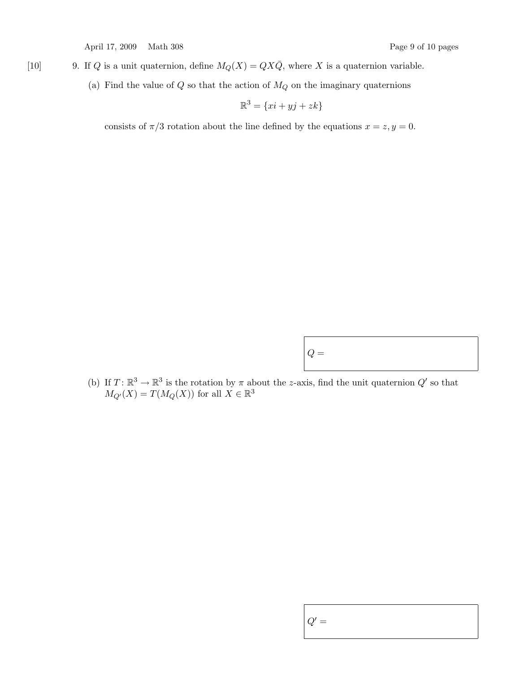April 17, 2009 Math 308 Page 9 of 10 pages

- [10] 9. If Q is a unit quaternion, define  $M_Q(X) = QX\overline{Q}$ , where X is a quaternion variable.
	- (a) Find the value of  $Q$  so that the action of  $M_Q$  on the imaginary quaternions

$$
\mathbb{R}^3 = \{xi + yj + zk\}
$$

consists of  $\pi/3$  rotation about the line defined by the equations  $x = z, y = 0$ .

(b) If  $T: \mathbb{R}^3 \to \mathbb{R}^3$  is the rotation by  $\pi$  about the z-axis, find the unit quaternion  $Q'$  so that  $M_{Q'}(X) = T(M_Q(X))$  for all  $X \in \mathbb{R}^3$